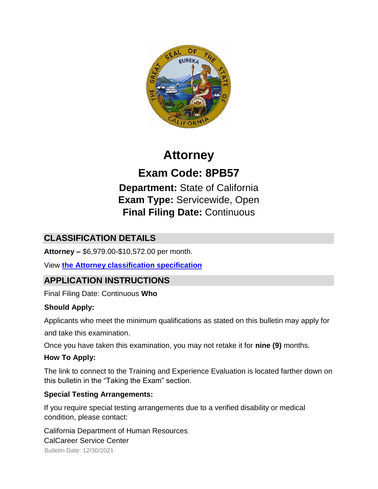

# **Attorney**

**Exam Code: 8PB57** 

**Department:** State of California **Exam Type:** Servicewide, Open **Final Filing Date:** Continuous

# **CLASSIFICATION DETAILS**

**Attorney –** \$6,979.00-\$10,572.00 per month.

View **[the Attorney classification specification](http://www.calhr.ca.gov/state-hr-professionals/pages/5778.aspx)**

# **APPLICATION INSTRUCTIONS**

Final Filing Date: Continuous **Who** 

## **Should Apply:**

Applicants who meet the minimum qualifications as stated on this bulletin may apply for

and take this examination.

Once you have taken this examination, you may not retake it for **nine (9)** months.

## **How To Apply:**

The link to connect to the Training and Experience Evaluation is located farther down on this bulletin in the "Taking the Exam" section.

## **Special Testing Arrangements:**

If you require special testing arrangements due to a verified disability or medical condition, please contact:

Bulletin Date: 12/30/2021 California Department of Human Resources CalCareer Service Center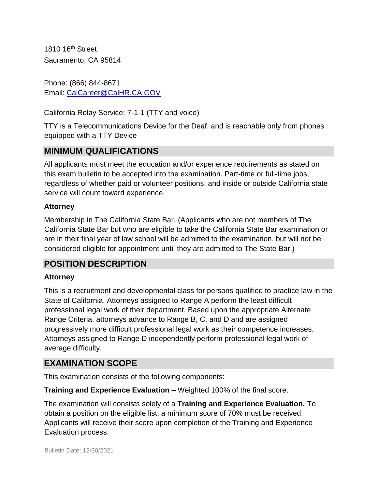1810 16<sup>th</sup> Street Sacramento, CA 95814

Phone: (866) 844-8671 Email: CalCareer@CalHR.CA.GOV

California Relay Service: 7-1-1 (TTY and voice)

TTY is a Telecommunications Device for the Deaf, and is reachable only from phones equipped with a TTY Device

## **MINIMUM QUALIFICATIONS**

All applicants must meet the education and/or experience requirements as stated on this exam bulletin to be accepted into the examination. Part-time or full-time jobs, regardless of whether paid or volunteer positions, and inside or outside California state service will count toward experience.

#### **Attorney**

Membership in The California State Bar. (Applicants who are not members of The California State Bar but who are eligible to take the California State Bar examination or are in their final year of law school will be admitted to the examination, but will not be considered eligible for appointment until they are admitted to The State Bar.)

## **POSITION DESCRIPTION**

#### **Attorney**

This is a recruitment and developmental class for persons qualified to practice law in the State of California. Attorneys assigned to Range A perform the least difficult professional legal work of their department. Based upon the appropriate Alternate Range Criteria, attorneys advance to Range B, C, and D and are assigned progressively more difficult professional legal work as their competence increases. Attorneys assigned to Range D independently perform professional legal work of average difficulty.

## **EXAMINATION SCOPE**

This examination consists of the following components:

**Training and Experience Evaluation –** Weighted 100% of the final score.

The examination will consists solely of a **Training and Experience Evaluation.** To obtain a position on the eligible list, a minimum score of 70% must be received. Applicants will receive their score upon completion of the Training and Experience Evaluation process.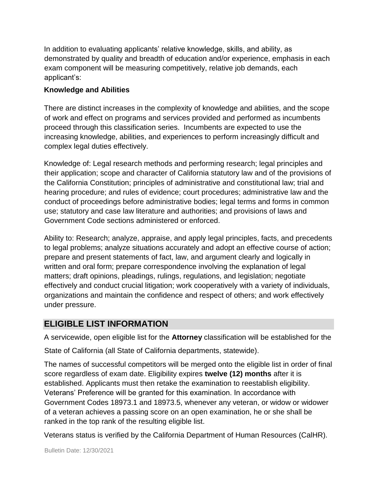In addition to evaluating applicants' relative knowledge, skills, and ability, as demonstrated by quality and breadth of education and/or experience, emphasis in each exam component will be measuring competitively, relative job demands, each applicant's:

#### **Knowledge and Abilities**

There are distinct increases in the complexity of knowledge and abilities, and the scope of work and effect on programs and services provided and performed as incumbents proceed through this classification series. Incumbents are expected to use the increasing knowledge, abilities, and experiences to perform increasingly difficult and complex legal duties effectively.

Knowledge of: Legal research methods and performing research; legal principles and their application; scope and character of California statutory law and of the provisions of the California Constitution; principles of administrative and constitutional law; trial and hearing procedure; and rules of evidence; court procedures; administrative law and the conduct of proceedings before administrative bodies; legal terms and forms in common use; statutory and case law literature and authorities; and provisions of laws and Government Code sections administered or enforced.

Ability to: Research; analyze, appraise, and apply legal principles, facts, and precedents to legal problems; analyze situations accurately and adopt an effective course of action; prepare and present statements of fact, law, and argument clearly and logically in written and oral form; prepare correspondence involving the explanation of legal matters; draft opinions, pleadings, rulings, regulations, and legislation; negotiate effectively and conduct crucial litigation; work cooperatively with a variety of individuals, organizations and maintain the confidence and respect of others; and work effectively under pressure.

# **ELIGIBLE LIST INFORMATION**

A servicewide, open eligible list for the **Attorney** classification will be established for the

State of California (all State of California departments, statewide).

The names of successful competitors will be merged onto the eligible list in order of final score regardless of exam date. Eligibility expires **twelve (12) months** after it is established. Applicants must then retake the examination to reestablish eligibility. Veterans' Preference will be granted for this examination. In accordance with Government Codes 18973.1 and 18973.5, whenever any veteran, or widow or widower of a veteran achieves a passing score on an open examination, he or she shall be ranked in the top rank of the resulting eligible list.

Veterans status is verified by the California Department of Human Resources (CalHR).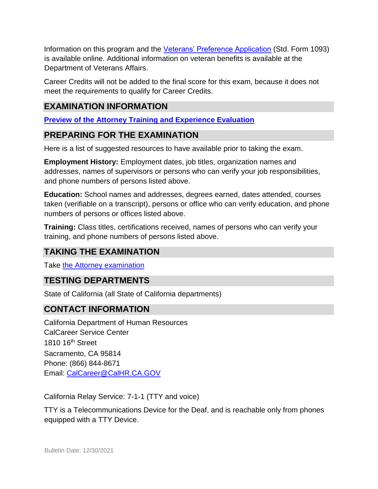Information on this program and the [Veterans' Preference Application](https://www.jobs.ca.gov/CalHRPublic/Landing/Jobs/VeteransInformation.aspx) (Std. Form 1093) is available online. Additional information on veteran benefits is available at the Department of Veterans Affairs.

Career Credits will not be added to the final score for this exam, because it does not meet the requirements to qualify for Career Credits.

# **EXAMINATION INFORMATION**

**[Preview of the Attorney Training and Experience Evaluation](https://jobs.ca.gov/jobsgen/8PB57a.pdf)**

## **PREPARING FOR THE EXAMINATION**

Here is a list of suggested resources to have available prior to taking the exam.

**Employment History:** Employment dates, job titles, organization names and addresses, names of supervisors or persons who can verify your job responsibilities, and phone numbers of persons listed above.

**Education:** School names and addresses, degrees earned, dates attended, courses taken (verifiable on a transcript), persons or office who can verify education, and phone numbers of persons or offices listed above.

**Training:** Class titles, certifications received, names of persons who can verify your training, and phone numbers of persons listed above.

# **TAKING THE EXAMINATION**

Take [the Attorney examination](https://exams.spb.ca.gov/exams/sc/index.cfm)

## **TESTING DEPARTMENTS**

State of California (all State of California departments)

## **CONTACT INFORMATION**

California Department of Human Resources CalCareer Service Center 1810 16th Street Sacramento, CA 95814 Phone: (866) 844-8671 Email: CalCareer@CalHR.CA.GOV

California Relay Service: 7-1-1 (TTY and voice)

TTY is a Telecommunications Device for the Deaf, and is reachable only from phones equipped with a TTY Device.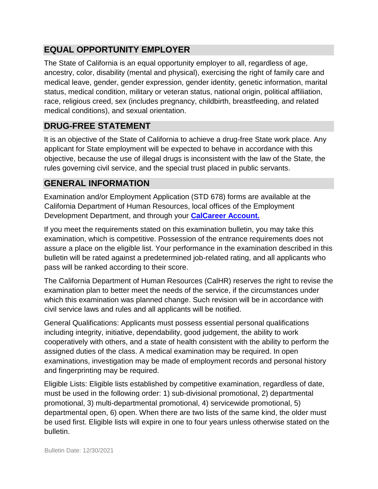# **EQUAL OPPORTUNITY EMPLOYER**

The State of California is an equal opportunity employer to all, regardless of age, ancestry, color, disability (mental and physical), exercising the right of family care and medical leave, gender, gender expression, gender identity, genetic information, marital status, medical condition, military or veteran status, national origin, political affiliation, race, religious creed, sex (includes pregnancy, childbirth, breastfeeding, and related medical conditions), and sexual orientation.

# **DRUG-FREE STATEMENT**

It is an objective of the State of California to achieve a drug-free State work place. Any applicant for State employment will be expected to behave in accordance with this objective, because the use of illegal drugs is inconsistent with the law of the State, the rules governing civil service, and the special trust placed in public servants.

# **GENERAL INFORMATION**

Examination and/or Employment Application (STD 678) forms are available at the California Department of Human Resources, local offices of the Employment Development Department, and through your **[CalCareer Account.](http://www.jobs.ca.gov/)**

If you meet the requirements stated on this examination bulletin, you may take this examination, which is competitive. Possession of the entrance requirements does not assure a place on the eligible list. Your performance in the examination described in this bulletin will be rated against a predetermined job-related rating, and all applicants who pass will be ranked according to their score.

The California Department of Human Resources (CalHR) reserves the right to revise the examination plan to better meet the needs of the service, if the circumstances under which this examination was planned change. Such revision will be in accordance with civil service laws and rules and all applicants will be notified.

General Qualifications: Applicants must possess essential personal qualifications including integrity, initiative, dependability, good judgement, the ability to work cooperatively with others, and a state of health consistent with the ability to perform the assigned duties of the class. A medical examination may be required. In open examinations, investigation may be made of employment records and personal history and fingerprinting may be required.

Eligible Lists: Eligible lists established by competitive examination, regardless of date, must be used in the following order: 1) sub-divisional promotional, 2) departmental promotional, 3) multi-departmental promotional, 4) servicewide promotional, 5) departmental open, 6) open. When there are two lists of the same kind, the older must be used first. Eligible lists will expire in one to four years unless otherwise stated on the bulletin.